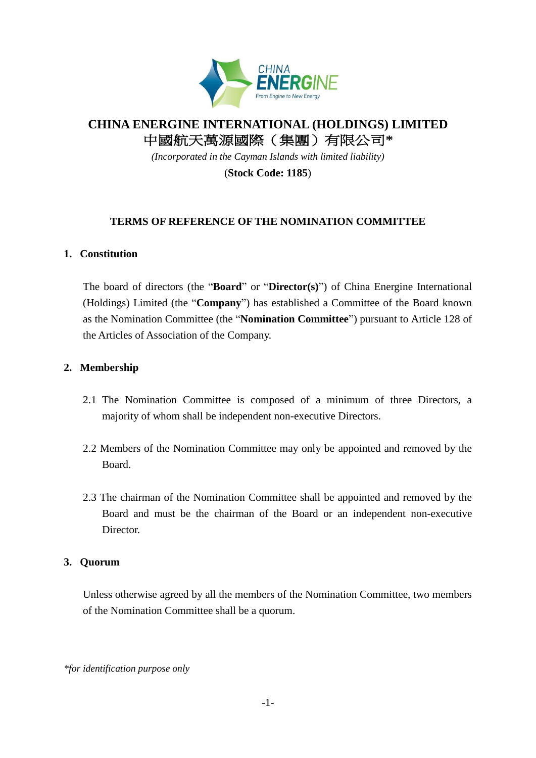

# **CHINA ENERGINE INTERNATIONAL (HOLDINGS) LIMITED** 中國航天萬源國際(集團)有限公司**\***

*(Incorporated in the Cayman Islands with limited liability)*

(**Stock Code: 1185**)

## **TERMS OF REFERENCE OF THE NOMINATION COMMITTEE**

## **1. Constitution**

The board of directors (the "**Board**" or "**Director(s)**") of China Energine International (Holdings) Limited (the "**Company**") has established a Committee of the Board known as the Nomination Committee (the "**Nomination Committee**") pursuant to Article 128 of the Articles of Association of the Company.

## **2. Membership**

- 2.1 The Nomination Committee is composed of a minimum of three Directors, a majority of whom shall be independent non-executive Directors.
- 2.2 Members of the Nomination Committee may only be appointed and removed by the Board.
- 2.3 The chairman of the Nomination Committee shall be appointed and removed by the Board and must be the chairman of the Board or an independent non-executive Director.

#### **3. Quorum**

Unless otherwise agreed by all the members of the Nomination Committee, two members of the Nomination Committee shall be a quorum.

*\*for identification purpose only*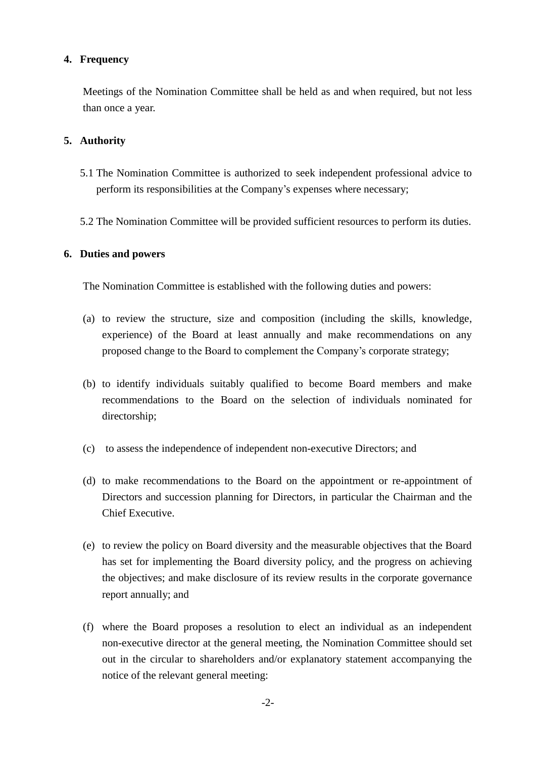## **4. Frequency**

Meetings of the Nomination Committee shall be held as and when required, but not less than once a year.

## **5. Authority**

- 5.1 The Nomination Committee is authorized to seek independent professional advice to perform its responsibilities at the Company's expenses where necessary;
- 5.2 The Nomination Committee will be provided sufficient resources to perform its duties.

#### **6. Duties and powers**

The Nomination Committee is established with the following duties and powers:

- (a) to review the structure, size and composition (including the skills, knowledge, experience) of the Board at least annually and make recommendations on any proposed change to the Board to complement the Company's corporate strategy;
- (b) to identify individuals suitably qualified to become Board members and make recommendations to the Board on the selection of individuals nominated for directorship;
- (c) to assess the independence of independent non-executive Directors; and
- (d) to make recommendations to the Board on the appointment or re-appointment of Directors and succession planning for Directors, in particular the Chairman and the Chief Executive.
- (e) to review the policy on Board diversity and the measurable objectives that the Board has set for implementing the Board diversity policy, and the progress on achieving the objectives; and make disclosure of its review results in the corporate governance report annually; and
- (f) where the Board proposes a resolution to elect an individual as an independent non-executive director at the general meeting, the Nomination Committee should set out in the circular to shareholders and/or explanatory statement accompanying the notice of the relevant general meeting: